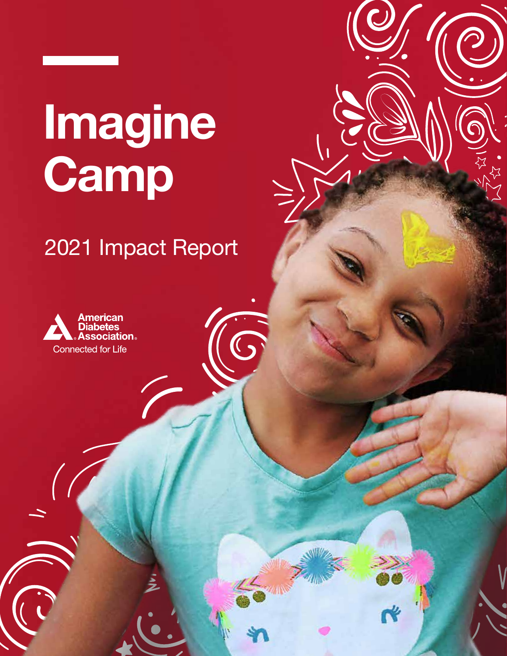# **Imagine Camp**

### 2021 Impact Report

 $\mathcal{C}_{\mathbf{S}}$ 

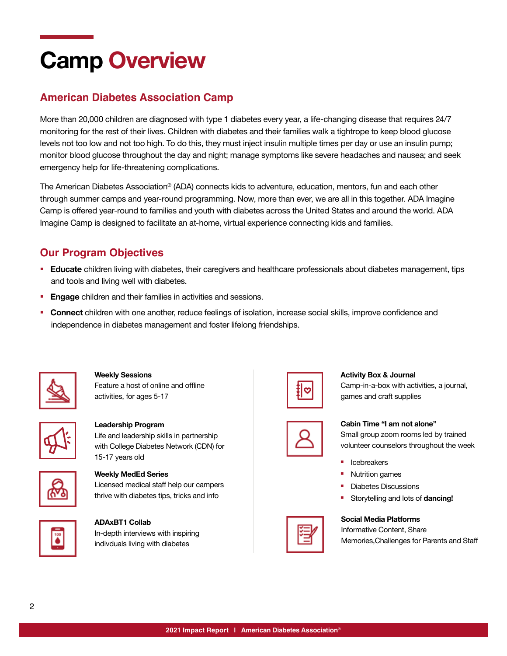## **Camp Overview**

### **American Diabetes Association Camp**

More than 20,000 children are diagnosed with type 1 diabetes every year, a life-changing disease that requires 24/7 monitoring for the rest of their lives. Children with diabetes and their families walk a tightrope to keep blood glucose levels not too low and not too high. To do this, they must inject insulin multiple times per day or use an insulin pump; monitor blood glucose throughout the day and night; manage symptoms like severe headaches and nausea; and seek emergency help for life-threatening complications.

The American Diabetes Association® (ADA) connects kids to adventure, education, mentors, fun and each other through summer camps and year-round programming. Now, more than ever, we are all in this together. ADA Imagine Camp is offered year-round to families and youth with diabetes across the United States and around the world. ADA Imagine Camp is designed to facilitate an at-home, virtual experience connecting kids and families.

### **Our Program Objectives**

- **Educate** children living with diabetes, their caregivers and healthcare professionals about diabetes management, tips and tools and living well with diabetes.
- **Engage** children and their families in activities and sessions.
- **Connect** children with one another, reduce feelings of isolation, increase social skills, improve confidence and independence in diabetes management and foster lifelong friendships.



**Weekly Sessions** Feature a host of online and offline activities, for ages 5-17



**Leadership Program**  Life and leadership skills in partnership with College Diabetes Network (CDN) for 15-17 years old



### **Weekly MedEd Series**

Licensed medical staff help our campers thrive with diabetes tips, tricks and info



**ADAxBT1 Collab** In-depth interviews with inspiring indivduals living with diabetes



#### **Activity Box & Journal**

Camp-in-a-box with activities, a journal, games and craft supplies



**Cabin Time "I am not alone"**

Small group zoom rooms led by trained volunteer counselors throughout the week

- Icebreakers
- § Nutrition games
- § Diabetes Discussions
- § Storytelling and lots of **dancing!**

#### **Social Media Platforms**

Informative Content, Share Memories,Challenges for Parents and Staff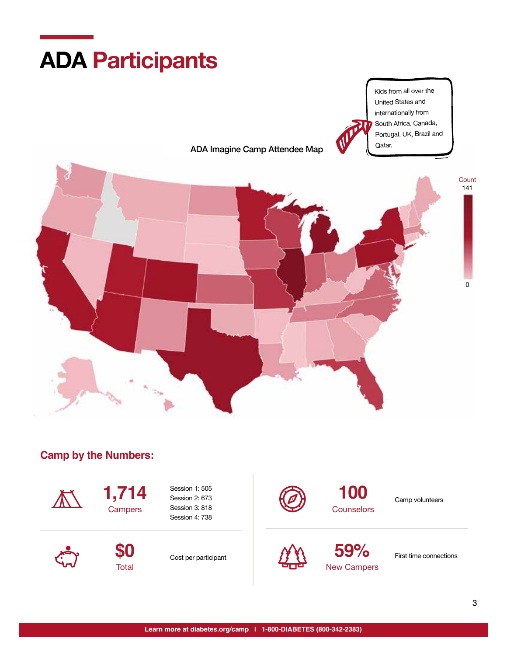

### **Camp by the Numbers:**



**1,714 Campers** 

Session 1: 505 Session 2: 673 Session 3: 818 Session 4: 738



100 Camp volunteers **Counselors** 



**\$0 Total** 

Cost per participant



**59%** First time connections New Campers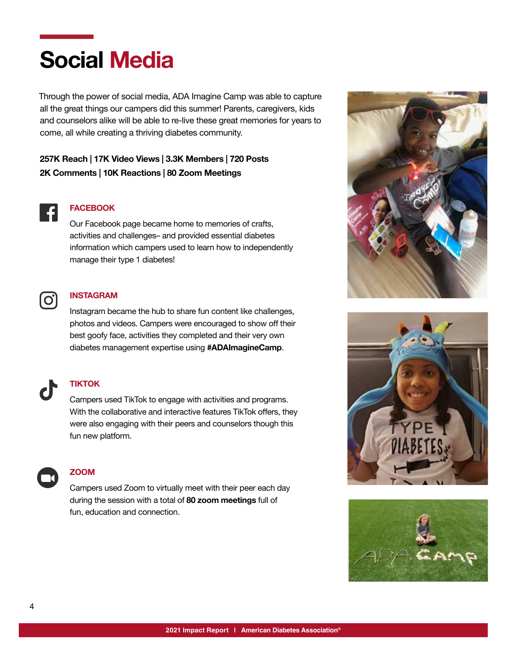### **Social Media**

Through the power of social media, ADA Imagine Camp was able to capture all the great things our campers did this summer! Parents, caregivers, kids and counselors alike will be able to re-live these great memories for years to come, all while creating a thriving diabetes community.

### **257K Reach | 17K Video Views | 3.3K Members | 720 Posts 2K Comments | 10K Reactions | 80 Zoom Meetings**



#### **FACEBOOK**

Our Facebook page became home to memories of crafts, activities and challenges– and provided essential diabetes information which campers used to learn how to independently manage their type 1 diabetes!



#### **INSTAGRAM**

Instagram became the hub to share fun content like challenges, photos and videos. Campers were encouraged to show off their best goofy face, activities they completed and their very own diabetes management expertise using **#ADAImagineCamp**.



#### **TIKTOK**

Campers used TikTok to engage with activities and programs. With the collaborative and interactive features TikTok offers, they were also engaging with their peers and counselors though this fun new platform.



#### **ZOOM**

Campers used Zoom to virtually meet with their peer each day during the session with a total of **80 zoom meetings** full of fun, education and connection.





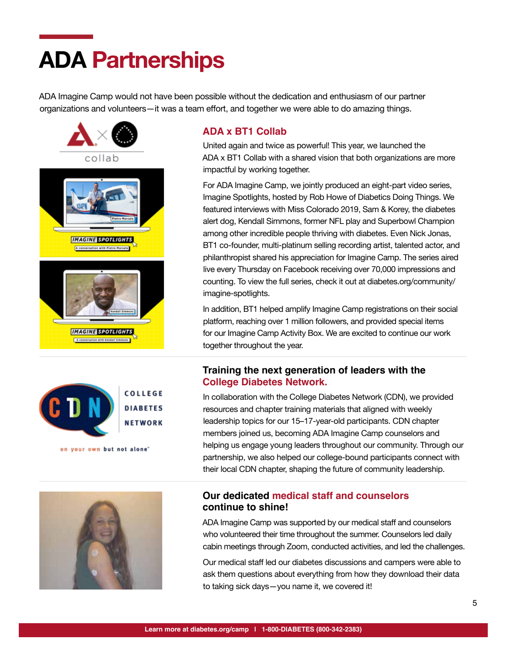## **ADA Partnerships**

ADA Imagine Camp would not have been possible without the dedication and enthusiasm of our partner organizations and volunteers—it was a team effort, and together we were able to do amazing things.





on your own but not alone"



### **ADA x BT1 Collab**

United again and twice as powerful! This year, we launched the ADA x BT1 Collab with a shared vision that both organizations are more impactful by working together.

For ADA Imagine Camp, we jointly produced an eight-part video series, Imagine Spotlights, hosted by Rob Howe of Diabetics Doing Things. We featured interviews with Miss Colorado 2019, Sam & Korey, the diabetes alert dog, Kendall Simmons, former NFL play and Superbowl Champion among other incredible people thriving with diabetes. Even Nick Jonas, BT1 co-founder, multi-platinum selling recording artist, talented actor, and philanthropist shared his appreciation for Imagine Camp. The series aired live every Thursday on Facebook receiving over 70,000 impressions and counting. To view the full series, check it out at [diabetes.org/community/](http://diabetes.org/community/imagine-spotlights) [imagine-spotlights.](http://diabetes.org/community/imagine-spotlights)

In addition, BT1 helped amplify Imagine Camp registrations on their social platform, reaching over 1 million followers, and provided special items for our Imagine Camp Activity Box. We are excited to continue our work together throughout the year.

### **Training the next generation of leaders with the College Diabetes Network.**

In collaboration with the College Diabetes Network (CDN), we provided resources and chapter training materials that aligned with weekly leadership topics for our 15–17-year-old participants. CDN chapter members joined us, becoming ADA Imagine Camp counselors and helping us engage young leaders throughout our community. Through our partnership, we also helped our college-bound participants connect with their local CDN chapter, shaping the future of community leadership.

### **Our dedicated medical staff and counselors continue to shine!**

ADA Imagine Camp was supported by our medical staff and counselors who volunteered their time throughout the summer. Counselors led daily cabin meetings through Zoom, conducted activities, and led the challenges.

Our medical staff led our diabetes discussions and campers were able to ask them questions about everything from how they download their data to taking sick days—you name it, we covered it!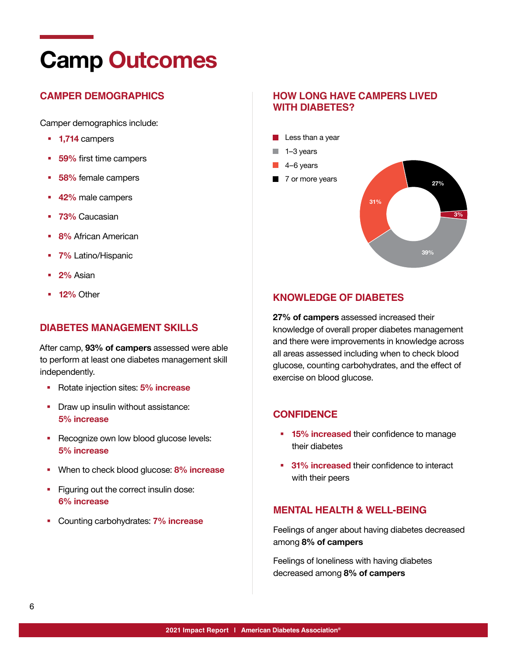### **Camp Outcomes**

### **CAMPER DEMOGRAPHICS**

Camper demographics include:

- § **1,714** campers
- § **59%** first time campers
- § **58%** female campers
- § **42%** male campers
- § **73%** Caucasian
- § **8%** African American
- § **7%** Latino/Hispanic
- § **2%** Asian
- § **12%** Other

### **DIABETES MANAGEMENT SKILLS**

After camp, **93% of campers** assessed were able to perform at least one diabetes management skill independently.

- § Rotate injection sites: **5% increase**
- Draw up insulin without assistance: **5% increase**
- Recognize own low blood glucose levels: **5% increase**
- § When to check blood glucose: **8% increase**
- **•** Figuring out the correct insulin dose: **6% increase**
- § Counting carbohydrates: **7% increase**

### **HOW LONG HAVE CAMPERS LIVED WITH DIABETES?**



### **KNOWLEDGE OF DIABETES**

**27% of campers** assessed increased their knowledge of overall proper diabetes management and there were improvements in knowledge across all areas assessed including when to check blood glucose, counting carbohydrates, and the effect of exercise on blood glucose.

#### **CONFIDENCE**

- **15% increased** their confidence to manage their diabetes
- § **31% increased** their confidence to interact with their peers

### **MENTAL HEALTH & WELL-BEING**

Feelings of anger about having diabetes decreased among **8% of campers** 

Feelings of loneliness with having diabetes decreased among **8% of campers**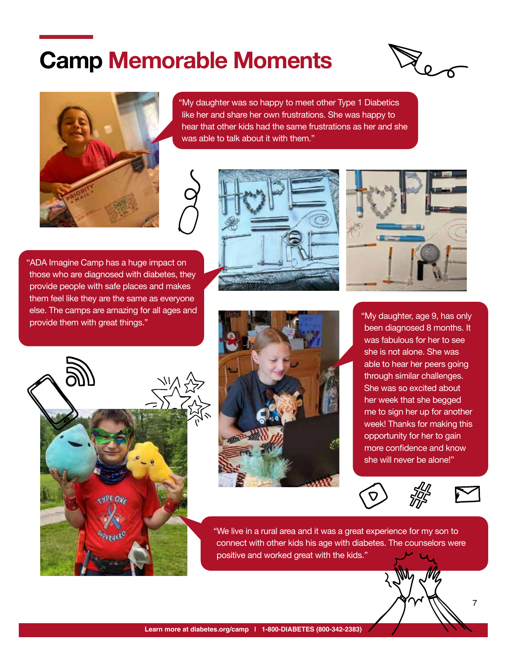### **Camp Memorable Moments**





"My daughter was so happy to meet other Type 1 Diabetics like her and share her own frustrations. She was happy to hear that other kids had the same frustrations as her and she was able to talk about it with them."

"ADA Imagine Camp has a huge impact on those who are diagnosed with diabetes, they provide people with safe places and makes them feel like they are the same as everyone else. The camps are amazing for all ages and provide them with great things."









"My daughter, age 9, has only been diagnosed 8 months. It was fabulous for her to see she is not alone. She was able to hear her peers going through similar challenges. She was so excited about her week that she begged me to sign her up for another week! Thanks for making this opportunity for her to gain more confidence and know she will never be alone!"





7

"We live in a rural area and it was a great experience for my son to connect with other kids his age with diabetes. The counselors were positive and worked great with the kids."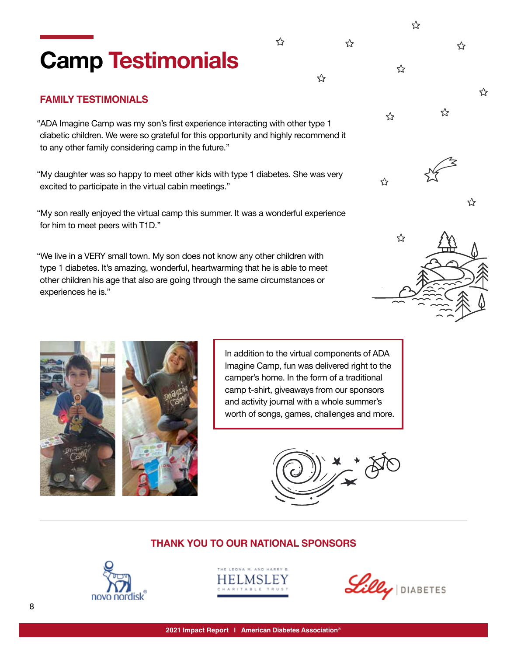### **Camp Testimonials**

### **FAMILY TESTIMONIALS**

"ADA Imagine Camp was my son's first experience interacting with other type 1 diabetic children. We were so grateful for this opportunity and highly recommend it to any other family considering camp in the future."

"My daughter was so happy to meet other kids with type 1 diabetes. She was very excited to participate in the virtual cabin meetings."

"My son really enjoyed the virtual camp this summer. It was a wonderful experience for him to meet peers with T1D."

"We live in a VERY small town. My son does not know any other children with type 1 diabetes. It's amazing, wonderful, heartwarming that he is able to meet other children his age that also are going through the same circumstances or experiences he is."



☆

⊰≿

☆









 $\mathcal{L}$   $\Phi$ 

| ☆ |   | Z |
|---|---|---|
|   |   |   |
|   |   |   |
|   | ☆ |   |

☆

☆

☆

☆

☆

☆

☆